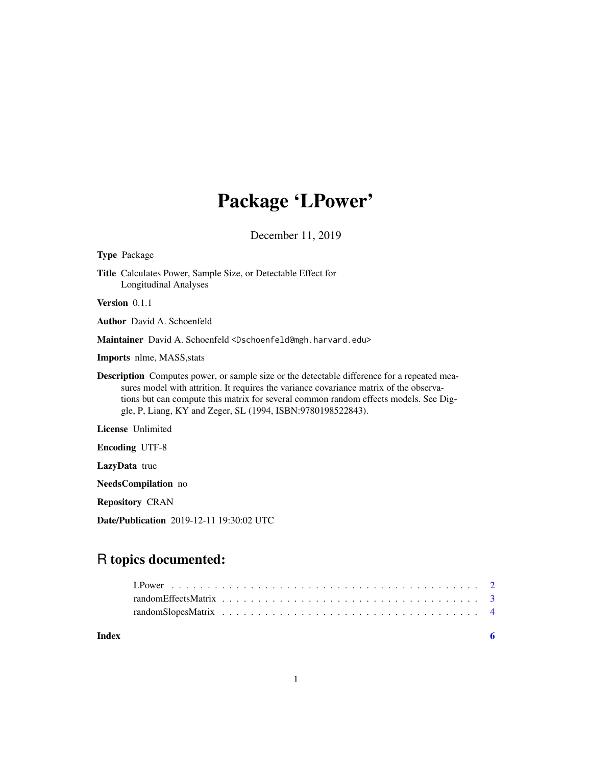# Package 'LPower'

December 11, 2019

| <b>Type Package</b>                                                                                                                                                                                                                                                                                                                                  |
|------------------------------------------------------------------------------------------------------------------------------------------------------------------------------------------------------------------------------------------------------------------------------------------------------------------------------------------------------|
| <b>Title</b> Calculates Power, Sample Size, or Detectable Effect for<br><b>Longitudinal Analyses</b>                                                                                                                                                                                                                                                 |
| Version 0.1.1                                                                                                                                                                                                                                                                                                                                        |
| <b>Author</b> David A. Schoenfeld                                                                                                                                                                                                                                                                                                                    |
| <b>Maintainer</b> David A. Schoenfeld <dschoenfeld@mgh.harvard.edu></dschoenfeld@mgh.harvard.edu>                                                                                                                                                                                                                                                    |
| <b>Imports</b> nlme, MASS, stats                                                                                                                                                                                                                                                                                                                     |
| <b>Description</b> Computes power, or sample size or the detectable difference for a repeated mea-<br>sures model with attrition. It requires the variance covariance matrix of the observa-<br>tions but can compute this matrix for several common random effects models. See Dig-<br>gle, P, Liang, KY and Zeger, SL (1994, ISBN: 9780198522843). |
| <b>License</b> Unlimited                                                                                                                                                                                                                                                                                                                             |
| <b>Encoding UTF-8</b>                                                                                                                                                                                                                                                                                                                                |
| <b>LazyData</b> true                                                                                                                                                                                                                                                                                                                                 |
| <b>NeedsCompilation</b> no                                                                                                                                                                                                                                                                                                                           |
| <b>Repository CRAN</b>                                                                                                                                                                                                                                                                                                                               |

Date/Publication 2019-12-11 19:30:02 UTC

# R topics documented:

# **Index** [6](#page-5-0) **6**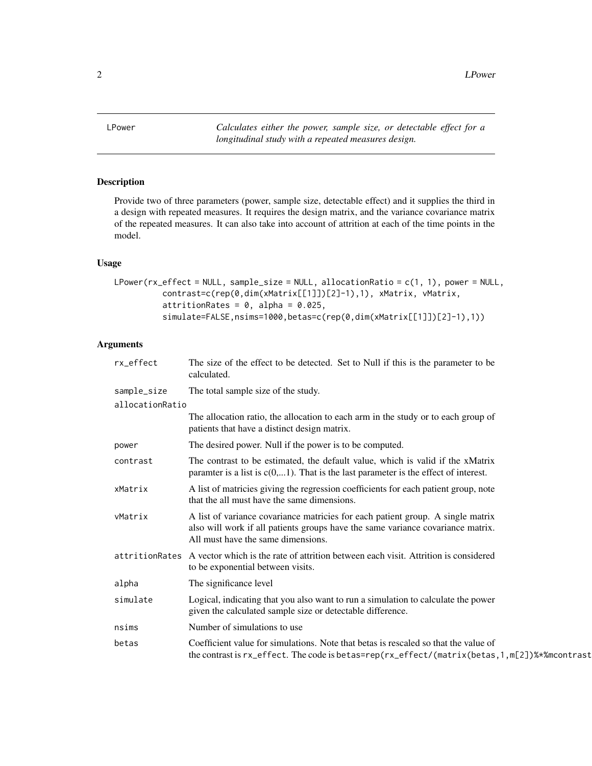<span id="page-1-0"></span>2 **LPower** 

<span id="page-1-1"></span>

# Description

Provide two of three parameters (power, sample size, detectable effect) and it supplies the third in a design with repeated measures. It requires the design matrix, and the variance covariance matrix of the repeated measures. It can also take into account of attrition at each of the time points in the model.

#### Usage

```
LPower(rx_effect = NULL, sample_size = NULL, allocationRatio = c(1, 1), power = NULL,
          contrast=c(rep(0,dim(xMatrix[[1]])[2]-1),1), xMatrix, vMatrix,
          attritionRates = 0, alpha = 0.025,
          simulate=FALSE,nsims=1000,betas=c(rep(0,dim(xMatrix[[1]])[2]-1),1))
```
# Arguments

| rx_effect       | The size of the effect to be detected. Set to Null if this is the parameter to be<br>calculated.                                                                                                         |  |  |
|-----------------|----------------------------------------------------------------------------------------------------------------------------------------------------------------------------------------------------------|--|--|
| sample_size     | The total sample size of the study.                                                                                                                                                                      |  |  |
| allocationRatio |                                                                                                                                                                                                          |  |  |
|                 | The allocation ratio, the allocation to each arm in the study or to each group of<br>patients that have a distinct design matrix.                                                                        |  |  |
| power           | The desired power. Null if the power is to be computed.                                                                                                                                                  |  |  |
| contrast        | The contrast to be estimated, the default value, which is valid if the xMatrix<br>paramter is a list is $c(0,1)$ . That is the last parameter is the effect of interest.                                 |  |  |
| xMatrix         | A list of matricies giving the regression coefficients for each patient group, note<br>that the all must have the same dimensions.                                                                       |  |  |
| vMatrix         | A list of variance covariance matricies for each patient group. A single matrix<br>also will work if all patients groups have the same variance covariance matrix.<br>All must have the same dimensions. |  |  |
| attritionRates  | A vector which is the rate of attrition between each visit. Attrition is considered<br>to be exponential between visits.                                                                                 |  |  |
| alpha           | The significance level                                                                                                                                                                                   |  |  |
| simulate        | Logical, indicating that you also want to run a simulation to calculate the power<br>given the calculated sample size or detectable difference.                                                          |  |  |
| nsims           | Number of simulations to use.                                                                                                                                                                            |  |  |
| betas           | Coefficient value for simulations. Note that betas is rescaled so that the value of<br>the contrast is rx_effect. The code is betas=rep(rx_effect/(matrix(betas, 1, m[2])%*% mcontrast                   |  |  |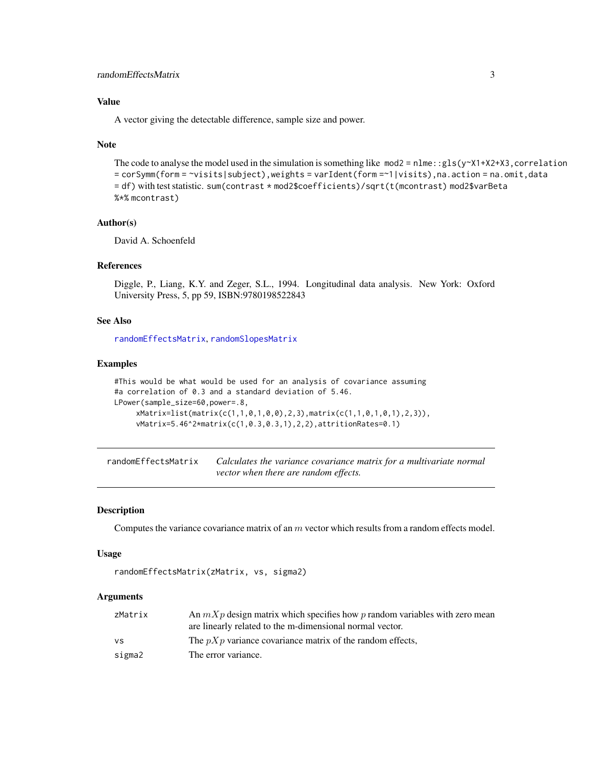# <span id="page-2-0"></span>randomEffectsMatrix 3

# Value

A vector giving the detectable difference, sample size and power.

#### Note

```
The code to analyse the model used in the simulation is something like mod2 = nIm:gls(y~X1+X2+X3,correlation= corSymm(form = ~visits|subject),weights = varIdent(form =~1|visits),na.action = na.omit,data
= df) with test statistic. sum(contrast * mod2$coefficients)/sqrt(t(mcontrast) mod2$varBeta
%*% mcontrast)
```
# Author(s)

David A. Schoenfeld

# References

Diggle, P., Liang, K.Y. and Zeger, S.L., 1994. Longitudinal data analysis. New York: Oxford University Press, 5, pp 59, ISBN:9780198522843

# See Also

[randomEffectsMatrix](#page-2-1), [randomSlopesMatrix](#page-3-1)

#### Examples

```
#This would be what would be used for an analysis of covariance assuming
#a correlation of 0.3 and a standard deviation of 5.46.
LPower(sample_size=60,power=.8,
     xMatrix=list(matrix(c(1,1,0,1,0,0),2,3),matrix(c(1,1,0,1,0,1),2,3)),
     vMatrix=5.46^2*matrix(c(1,0.3,0.3,1),2,2),attritionRates=0.1)
```
<span id="page-2-1"></span>randomEffectsMatrix *Calculates the variance covariance matrix for a multivariate normal vector when there are random effects.*

# Description

Computes the variance covariance matrix of an m vector which results from a random effects model.

#### Usage

```
randomEffectsMatrix(zMatrix, vs, sigma2)
```
# Arguments

| zMatrix | An $mXp$ design matrix which specifies how p random variables with zero mean |
|---------|------------------------------------------------------------------------------|
|         | are linearly related to the m-dimensional normal vector.                     |
| ٧S      | The $pXp$ variance covariance matrix of the random effects.                  |
| sigma2  | The error variance.                                                          |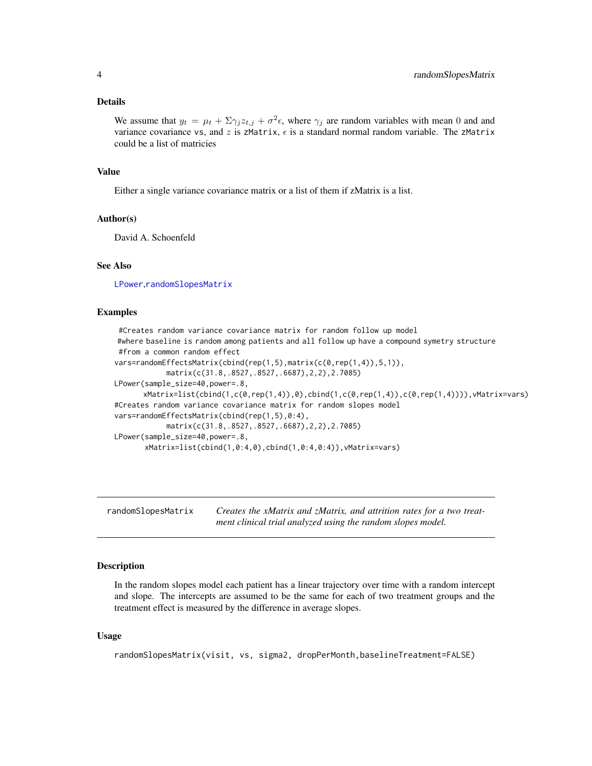#### <span id="page-3-0"></span>Details

We assume that  $y_t = \mu_t + \sum \gamma_j z_{t,j} + \sigma^2 \epsilon$ , where  $\gamma_j$  are random variables with mean 0 and and variance covariance vs, and z is zMatrix,  $\epsilon$  is a standard normal random variable. The zMatrix could be a list of matricies

# Value

Either a single variance covariance matrix or a list of them if zMatrix is a list.

#### Author(s)

David A. Schoenfeld

# See Also

[LPower](#page-1-1),[randomSlopesMatrix](#page-3-1)

# Examples

```
#Creates random variance covariance matrix for random follow up model
#where baseline is random among patients and all follow up have a compound symetry structure
 #from a common random effect
vars=randomEffectsMatrix(cbind(rep(1,5),matrix(c(0,rep(1,4)),5,1)),
            matrix(c(31.8,.8527,.8527,.6687),2,2),2.7085)
LPower(sample_size=40,power=.8,
      xMatrix=list(cbind(1,c(0,rep(1,4)),0),cbind(1,c(0,rep(1,4)),c(0,rep(1,4)))),vMatrix=vars)
#Creates random variance covariance matrix for random slopes model
vars=randomEffectsMatrix(cbind(rep(1,5),0:4),
            matrix(c(31.8,.8527,.8527,.6687),2,2),2.7085)
LPower(sample_size=40,power=.8,
      xMatrix=list(cbind(1,0:4,0),cbind(1,0:4,0:4)),vMatrix=vars)
```
<span id="page-3-1"></span>randomSlopesMatrix *Creates the xMatrix and zMatrix, and attrition rates for a two treatment clinical trial analyzed using the random slopes model.*

# Description

In the random slopes model each patient has a linear trajectory over time with a random intercept and slope. The intercepts are assumed to be the same for each of two treatment groups and the treatment effect is measured by the difference in average slopes.

#### Usage

randomSlopesMatrix(visit, vs, sigma2, dropPerMonth,baselineTreatment=FALSE)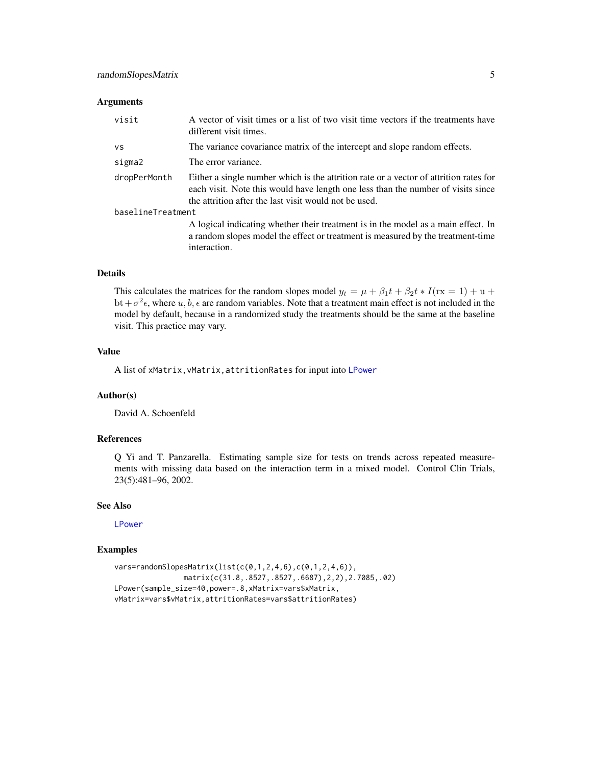#### <span id="page-4-0"></span>Arguments

| visit             | A vector of visit times or a list of two visit time vectors if the treatments have<br>different visit times.                                                                                                                       |
|-------------------|------------------------------------------------------------------------------------------------------------------------------------------------------------------------------------------------------------------------------------|
| vs                | The variance covariance matrix of the intercept and slope random effects.                                                                                                                                                          |
| sigma2            | The error variance.                                                                                                                                                                                                                |
| dropPerMonth      | Either a single number which is the attrition rate or a vector of attrition rates for<br>each visit. Note this would have length one less than the number of visits since<br>the attrition after the last visit would not be used. |
| baselineTreatment |                                                                                                                                                                                                                                    |
|                   | A logical indicating whether their treatment is in the model as a main effect. In<br>a random slopes model the effect or treatment is measured by the treatment-time<br>interaction.                                               |

# Details

This calculates the matrices for the random slopes model  $y_t = \mu + \beta_1 t + \beta_2 t * I$  (rx = 1) + u + bt +  $\sigma^2 \epsilon$ , where  $u, b, \epsilon$  are random variables. Note that a treatment main effect is not included in the model by default, because in a randomized study the treatments should be the same at the baseline visit. This practice may vary.

# Value

A list of xMatrix,vMatrix,attritionRates for input into [LPower](#page-1-1)

#### Author(s)

David A. Schoenfeld

# References

Q Yi and T. Panzarella. Estimating sample size for tests on trends across repeated measurements with missing data based on the interaction term in a mixed model. Control Clin Trials, 23(5):481–96, 2002.

# See Also

[LPower](#page-1-1)

# Examples

```
vars=randomSlopesMatrix(list(c(0,1,2,4,6),c(0,1,2,4,6)),
                matrix(c(31.8,.8527,.8527,.6687),2,2),2.7085,.02)
LPower(sample_size=40,power=.8,xMatrix=vars$xMatrix,
vMatrix=vars$vMatrix,attritionRates=vars$attritionRates)
```